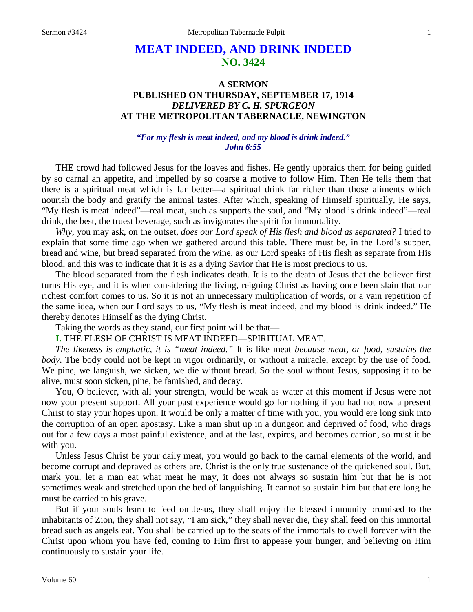# **MEAT INDEED, AND DRINK INDEED NO. 3424**

## **A SERMON PUBLISHED ON THURSDAY, SEPTEMBER 17, 1914** *DELIVERED BY C. H. SPURGEON* **AT THE METROPOLITAN TABERNACLE, NEWINGTON**

#### *"For my flesh is meat indeed, and my blood is drink indeed." John 6:55*

THE crowd had followed Jesus for the loaves and fishes. He gently upbraids them for being guided by so carnal an appetite, and impelled by so coarse a motive to follow Him. Then He tells them that there is a spiritual meat which is far better—a spiritual drink far richer than those aliments which nourish the body and gratify the animal tastes. After which, speaking of Himself spiritually, He says, "My flesh is meat indeed"—real meat, such as supports the soul, and "My blood is drink indeed"—real drink, the best, the truest beverage, such as invigorates the spirit for immortality.

*Why*, you may ask, on the outset, *does our Lord speak of His flesh and blood as separated?* I tried to explain that some time ago when we gathered around this table. There must be, in the Lord's supper, bread and wine, but bread separated from the wine, as our Lord speaks of His flesh as separate from His blood, and this was to indicate that it is as a dying Savior that He is most precious to us.

The blood separated from the flesh indicates death. It is to the death of Jesus that the believer first turns His eye, and it is when considering the living, reigning Christ as having once been slain that our richest comfort comes to us. So it is not an unnecessary multiplication of words, or a vain repetition of the same idea, when our Lord says to us, "My flesh is meat indeed, and my blood is drink indeed." He thereby denotes Himself as the dying Christ.

Taking the words as they stand, our first point will be that—

**I.** THE FLESH OF CHRIST IS MEAT INDEED—SPIRITUAL MEAT.

*The likeness is emphatic, it is "meat indeed."* It is like meat *because meat, or food, sustains the body*. The body could not be kept in vigor ordinarily, or without a miracle, except by the use of food. We pine, we languish, we sicken, we die without bread. So the soul without Jesus, supposing it to be alive, must soon sicken, pine, be famished, and decay.

You, O believer, with all your strength, would be weak as water at this moment if Jesus were not now your present support. All your past experience would go for nothing if you had not now a present Christ to stay your hopes upon. It would be only a matter of time with you, you would ere long sink into the corruption of an open apostasy. Like a man shut up in a dungeon and deprived of food, who drags out for a few days a most painful existence, and at the last, expires, and becomes carrion, so must it be with you.

Unless Jesus Christ be your daily meat, you would go back to the carnal elements of the world, and become corrupt and depraved as others are. Christ is the only true sustenance of the quickened soul. But, mark you, let a man eat what meat he may, it does not always so sustain him but that he is not sometimes weak and stretched upon the bed of languishing. It cannot so sustain him but that ere long he must be carried to his grave.

But if your souls learn to feed on Jesus, they shall enjoy the blessed immunity promised to the inhabitants of Zion, they shall not say, "I am sick," they shall never die, they shall feed on this immortal bread such as angels eat. You shall be carried up to the seats of the immortals to dwell forever with the Christ upon whom you have fed, coming to Him first to appease your hunger, and believing on Him continuously to sustain your life.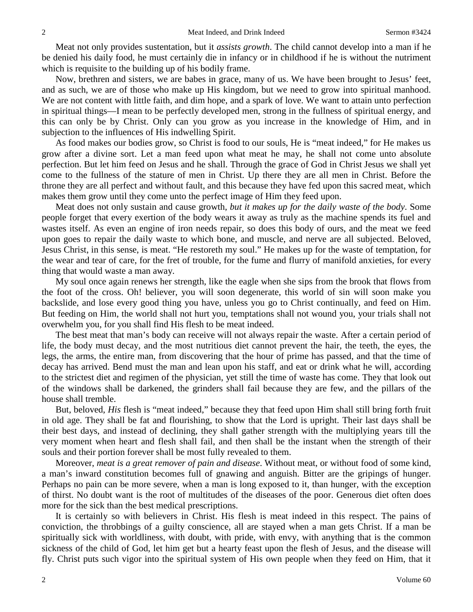Meat not only provides sustentation, but it *assists growth*. The child cannot develop into a man if he be denied his daily food, he must certainly die in infancy or in childhood if he is without the nutriment which is requisite to the building up of his bodily frame.

Now, brethren and sisters, we are babes in grace, many of us. We have been brought to Jesus' feet, and as such, we are of those who make up His kingdom, but we need to grow into spiritual manhood. We are not content with little faith, and dim hope, and a spark of love. We want to attain unto perfection in spiritual things—I mean to be perfectly developed men, strong in the fullness of spiritual energy, and this can only be by Christ. Only can you grow as you increase in the knowledge of Him, and in subjection to the influences of His indwelling Spirit.

As food makes our bodies grow, so Christ is food to our souls, He is "meat indeed," for He makes us grow after a divine sort. Let a man feed upon what meat he may, he shall not come unto absolute perfection. But let him feed on Jesus and he shall. Through the grace of God in Christ Jesus we shall yet come to the fullness of the stature of men in Christ. Up there they are all men in Christ. Before the throne they are all perfect and without fault, and this because they have fed upon this sacred meat, which makes them grow until they come unto the perfect image of Him they feed upon.

Meat does not only sustain and cause growth, *but it makes up for the daily waste of the body*. Some people forget that every exertion of the body wears it away as truly as the machine spends its fuel and wastes itself. As even an engine of iron needs repair, so does this body of ours, and the meat we feed upon goes to repair the daily waste to which bone, and muscle, and nerve are all subjected. Beloved, Jesus Christ, in this sense, is meat. "He restoreth my soul." He makes up for the waste of temptation, for the wear and tear of care, for the fret of trouble, for the fume and flurry of manifold anxieties, for every thing that would waste a man away.

My soul once again renews her strength, like the eagle when she sips from the brook that flows from the foot of the cross. Oh! believer, you will soon degenerate, this world of sin will soon make you backslide, and lose every good thing you have, unless you go to Christ continually, and feed on Him. But feeding on Him, the world shall not hurt you, temptations shall not wound you, your trials shall not overwhelm you, for you shall find His flesh to be meat indeed.

The best meat that man's body can receive will not always repair the waste. After a certain period of life, the body must decay, and the most nutritious diet cannot prevent the hair, the teeth, the eyes, the legs, the arms, the entire man, from discovering that the hour of prime has passed, and that the time of decay has arrived. Bend must the man and lean upon his staff, and eat or drink what he will, according to the strictest diet and regimen of the physician, yet still the time of waste has come. They that look out of the windows shall be darkened, the grinders shall fail because they are few, and the pillars of the house shall tremble.

But, beloved, *His* flesh is "meat indeed," because they that feed upon Him shall still bring forth fruit in old age. They shall be fat and flourishing, to show that the Lord is upright. Their last days shall be their best days, and instead of declining, they shall gather strength with the multiplying years till the very moment when heart and flesh shall fail, and then shall be the instant when the strength of their souls and their portion forever shall be most fully revealed to them.

Moreover, *meat is a great remover of pain and disease*. Without meat, or without food of some kind, a man's inward constitution becomes full of gnawing and anguish. Bitter are the gripings of hunger. Perhaps no pain can be more severe, when a man is long exposed to it, than hunger, with the exception of thirst. No doubt want is the root of multitudes of the diseases of the poor. Generous diet often does more for the sick than the best medical prescriptions.

It is certainly so with believers in Christ. His flesh is meat indeed in this respect. The pains of conviction, the throbbings of a guilty conscience, all are stayed when a man gets Christ. If a man be spiritually sick with worldliness, with doubt, with pride, with envy, with anything that is the common sickness of the child of God, let him get but a hearty feast upon the flesh of Jesus, and the disease will fly. Christ puts such vigor into the spiritual system of His own people when they feed on Him, that it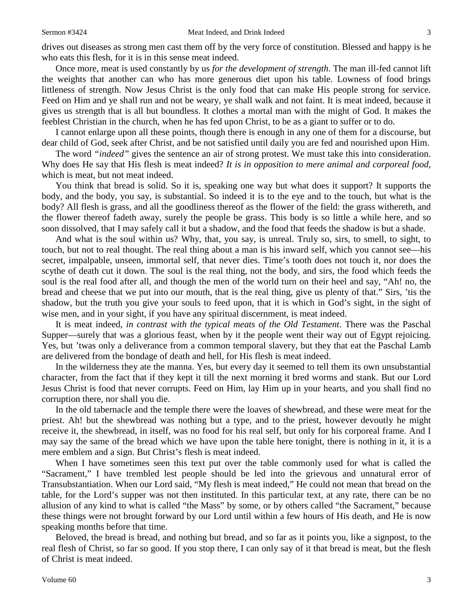Once more, meat is used constantly by us *for the development of strength*. The man ill-fed cannot lift the weights that another can who has more generous diet upon his table. Lowness of food brings littleness of strength. Now Jesus Christ is the only food that can make His people strong for service. Feed on Him and ye shall run and not be weary, ye shall walk and not faint. It is meat indeed, because it gives us strength that is all but boundless. It clothes a mortal man with the might of God. It makes the feeblest Christian in the church, when he has fed upon Christ, to be as a giant to suffer or to do.

I cannot enlarge upon all these points, though there is enough in any one of them for a discourse, but dear child of God, seek after Christ, and be not satisfied until daily you are fed and nourished upon Him.

The word *"indeed"* gives the sentence an air of strong protest. We must take this into consideration. Why does He say that His flesh is meat indeed? *It is in opposition to mere animal and corporeal food,* which is meat, but not meat indeed.

You think that bread is solid. So it is, speaking one way but what does it support? It supports the body, and the body, you say, is substantial. So indeed it is to the eye and to the touch, but what is the body? All flesh is grass, and all the goodliness thereof as the flower of the field: the grass withereth, and the flower thereof fadeth away, surely the people be grass. This body is so little a while here, and so soon dissolved, that I may safely call it but a shadow, and the food that feeds the shadow is but a shade.

And what is the soul within us? Why, that, you say, is unreal. Truly so, sirs, to smell, to sight, to touch, but not to real thought. The real thing about a man is his inward self, which you cannot see—his secret, impalpable, unseen, immortal self, that never dies. Time's tooth does not touch it, nor does the scythe of death cut it down. The soul is the real thing, not the body, and sirs, the food which feeds the soul is the real food after all, and though the men of the world turn on their heel and say, "Ah! no, the bread and cheese that we put into our mouth, that is the real thing, give us plenty of that." Sirs, 'tis the shadow, but the truth you give your souls to feed upon, that it is which in God's sight, in the sight of wise men, and in your sight, if you have any spiritual discernment, is meat indeed.

It is meat indeed, *in contrast with the typical meats of the Old Testament*. There was the Paschal Supper—surely that was a glorious feast, when by it the people went their way out of Egypt rejoicing. Yes, but 'twas only a deliverance from a common temporal slavery, but they that eat the Paschal Lamb are delivered from the bondage of death and hell, for His flesh is meat indeed.

In the wilderness they ate the manna. Yes, but every day it seemed to tell them its own unsubstantial character, from the fact that if they kept it till the next morning it bred worms and stank. But our Lord Jesus Christ is food that never corrupts. Feed on Him, lay Him up in your hearts, and you shall find no corruption there, nor shall you die.

In the old tabernacle and the temple there were the loaves of shewbread, and these were meat for the priest. Ah! but the shewbread was nothing but a type, and to the priest, however devoutly he might receive it, the shewbread, in itself, was no food for his real self, but only for his corporeal frame. And I may say the same of the bread which we have upon the table here tonight, there is nothing in it, it is a mere emblem and a sign. But Christ's flesh is meat indeed.

When I have sometimes seen this text put over the table commonly used for what is called the "Sacrament," I have trembled lest people should be led into the grievous and unnatural error of Transubstantiation. When our Lord said, "My flesh is meat indeed," He could not mean that bread on the table, for the Lord's supper was not then instituted. In this particular text, at any rate, there can be no allusion of any kind to what is called "the Mass" by some, or by others called "the Sacrament," because these things were not brought forward by our Lord until within a few hours of His death, and He is now speaking months before that time.

Beloved, the bread is bread, and nothing but bread, and so far as it points you, like a signpost, to the real flesh of Christ, so far so good. If you stop there, I can only say of it that bread is meat, but the flesh of Christ is meat indeed.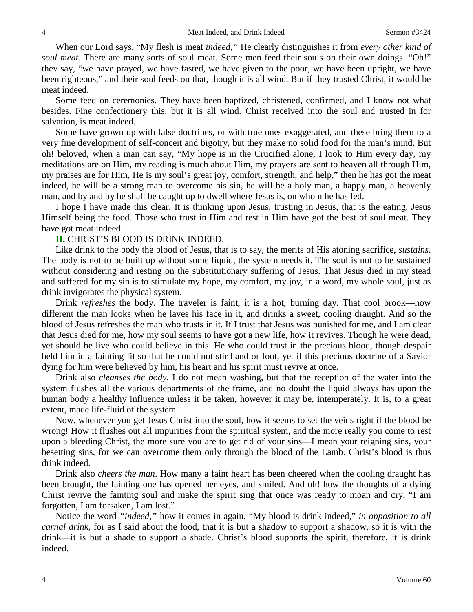When our Lord says, "My flesh is meat *indeed,"* He clearly distinguishes it from *every other kind of soul meat*. There are many sorts of soul meat. Some men feed their souls on their own doings. "Oh!" they say, "we have prayed, we have fasted, we have given to the poor, we have been upright, we have been righteous," and their soul feeds on that, though it is all wind. But if they trusted Christ, it would be meat indeed.

Some feed on ceremonies. They have been baptized, christened, confirmed, and I know not what besides. Fine confectionery this, but it is all wind. Christ received into the soul and trusted in for salvation, is meat indeed.

Some have grown up with false doctrines, or with true ones exaggerated, and these bring them to a very fine development of self-conceit and bigotry, but they make no solid food for the man's mind. But oh! beloved, when a man can say, "My hope is in the Crucified alone, I look to Him every day, my meditations are on Him, my reading is much about Him, my prayers are sent to heaven all through Him, my praises are for Him, He is my soul's great joy, comfort, strength, and help," then he has got the meat indeed, he will be a strong man to overcome his sin, he will be a holy man, a happy man, a heavenly man, and by and by he shall be caught up to dwell where Jesus is, on whom he has fed.

I hope I have made this clear. It is thinking upon Jesus, trusting in Jesus, that is the eating, Jesus Himself being the food. Those who trust in Him and rest in Him have got the best of soul meat. They have got meat indeed.

#### **II.** CHRIST'S BLOOD IS DRINK INDEED.

Like drink to the body the blood of Jesus, that is to say, the merits of His atoning sacrifice, *sustains*. The body is not to be built up without some liquid, the system needs it. The soul is not to be sustained without considering and resting on the substitutionary suffering of Jesus. That Jesus died in my stead and suffered for my sin is to stimulate my hope, my comfort, my joy, in a word, my whole soul, just as drink invigorates the physical system.

Drink *refreshes* the body. The traveler is faint, it is a hot, burning day. That cool brook—how different the man looks when he laves his face in it, and drinks a sweet, cooling draught. And so the blood of Jesus refreshes the man who trusts in it. If I trust that Jesus was punished for me, and I am clear that Jesus died for me, how my soul seems to have got a new life, how it revives. Though he were dead, yet should he live who could believe in this. He who could trust in the precious blood, though despair held him in a fainting fit so that he could not stir hand or foot, yet if this precious doctrine of a Savior dying for him were believed by him, his heart and his spirit must revive at once.

Drink also *cleanses the body*. I do not mean washing, but that the reception of the water into the system flushes all the various departments of the frame, and no doubt the liquid always has upon the human body a healthy influence unless it be taken, however it may be, intemperately. It is, to a great extent, made life-fluid of the system.

Now, whenever you get Jesus Christ into the soul, how it seems to set the veins right if the blood be wrong! How it flushes out all impurities from the spiritual system, and the more really you come to rest upon a bleeding Christ, the more sure you are to get rid of your sins—I mean your reigning sins, your besetting sins, for we can overcome them only through the blood of the Lamb. Christ's blood is thus drink indeed.

Drink also *cheers the man*. How many a faint heart has been cheered when the cooling draught has been brought, the fainting one has opened her eyes, and smiled. And oh! how the thoughts of a dying Christ revive the fainting soul and make the spirit sing that once was ready to moan and cry, "I am forgotten, I am forsaken, I am lost."

Notice the word *"indeed,"* how it comes in again, "My blood is drink indeed," *in opposition to all carnal drink,* for as I said about the food, that it is but a shadow to support a shadow, so it is with the drink—it is but a shade to support a shade. Christ's blood supports the spirit, therefore, it is drink indeed.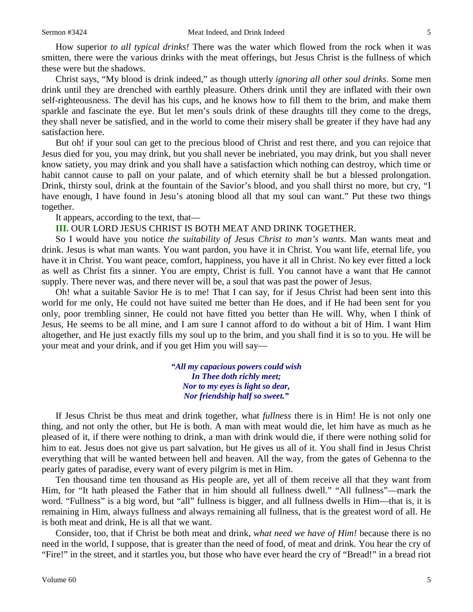How superior *to all typical drinks!* There was the water which flowed from the rock when it was smitten, there were the various drinks with the meat offerings, but Jesus Christ is the fullness of which these were but the shadows.

Christ says, "My blood is drink indeed," as though utterly *ignoring all other soul drinks*. Some men drink until they are drenched with earthly pleasure. Others drink until they are inflated with their own self-righteousness. The devil has his cups, and he knows how to fill them to the brim, and make them sparkle and fascinate the eye. But let men's souls drink of these draughts till they come to the dregs, they shall never be satisfied, and in the world to come their misery shall be greater if they have had any satisfaction here.

But oh! if your soul can get to the precious blood of Christ and rest there, and you can rejoice that Jesus died for you, you may drink, but you shall never be inebriated, you may drink, but you shall never know satiety, you may drink and you shall have a satisfaction which nothing can destroy, which time or habit cannot cause to pall on your palate, and of which eternity shall be but a blessed prolongation. Drink, thirsty soul, drink at the fountain of the Savior's blood, and you shall thirst no more, but cry, "I have enough, I have found in Jesu's atoning blood all that my soul can want." Put these two things together.

It appears, according to the text, that—

#### **III.** OUR LORD JESUS CHRIST IS BOTH MEAT AND DRINK TOGETHER.

So I would have you notice *the suitability of Jesus Christ to man's wants*. Man wants meat and drink. Jesus is what man wants. You want pardon, you have it in Christ. You want life, eternal life, you have it in Christ. You want peace, comfort, happiness, you have it all in Christ. No key ever fitted a lock as well as Christ fits a sinner. You are empty, Christ is full. You cannot have a want that He cannot supply. There never was, and there never will be, a soul that was past the power of Jesus.

Oh! what a suitable Savior He is to me! That I can say, for if Jesus Christ had been sent into this world for me only, He could not have suited me better than He does, and if He had been sent for you only, poor trembling sinner, He could not have fitted you better than He will. Why, when I think of Jesus, He seems to be all mine, and I am sure I cannot afford to do without a bit of Him. I want Him altogether, and He just exactly fills my soul up to the brim, and you shall find it is so to you. He will be your meat and your drink, and if you get Him you will say—

> *"All my capacious powers could wish In Thee doth richly meet; Nor to my eyes is light so dear, Nor friendship half so sweet."*

If Jesus Christ be thus meat and drink together, what *fullness* there is in Him! He is not only one thing, and not only the other, but He is both. A man with meat would die, let him have as much as he pleased of it, if there were nothing to drink, a man with drink would die, if there were nothing solid for him to eat. Jesus does not give us part salvation, but He gives us all of it. You shall find in Jesus Christ everything that will be wanted between hell and heaven. All the way, from the gates of Gehenna to the pearly gates of paradise, every want of every pilgrim is met in Him.

Ten thousand time ten thousand as His people are, yet all of them receive all that they want from Him, for "It hath pleased the Father that in him should all fullness dwell." "All fullness"—mark the word. "Fullness" is a big word, but "all" fullness is bigger, and all fullness dwells in Him—that is, it is remaining in Him, always fullness and always remaining all fullness, that is the greatest word of all. He is both meat and drink, He is all that we want.

Consider, too, that if Christ be both meat and drink, *what need we have of Him!* because there is no need in the world, I suppose, that is greater than the need of food, of meat and drink. You hear the cry of "Fire!" in the street, and it startles you, but those who have ever heard the cry of "Bread!" in a bread riot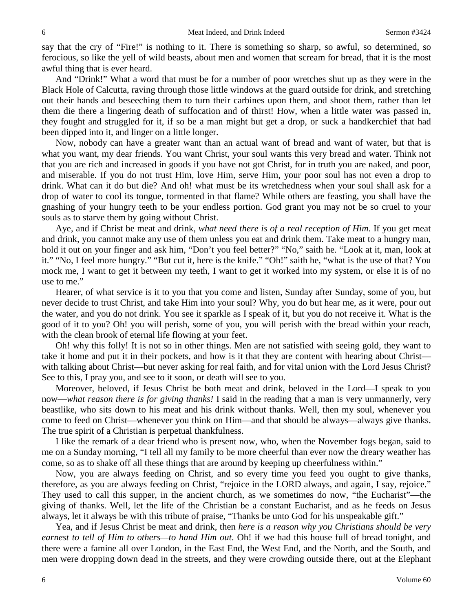say that the cry of "Fire!" is nothing to it. There is something so sharp, so awful, so determined, so ferocious, so like the yell of wild beasts, about men and women that scream for bread, that it is the most awful thing that is ever heard.

And "Drink!" What a word that must be for a number of poor wretches shut up as they were in the Black Hole of Calcutta, raving through those little windows at the guard outside for drink, and stretching out their hands and beseeching them to turn their carbines upon them, and shoot them, rather than let them die there a lingering death of suffocation and of thirst! How, when a little water was passed in, they fought and struggled for it, if so be a man might but get a drop, or suck a handkerchief that had been dipped into it, and linger on a little longer.

Now, nobody can have a greater want than an actual want of bread and want of water, but that is what you want, my dear friends. You want Christ, your soul wants this very bread and water. Think not that you are rich and increased in goods if you have not got Christ, for in truth you are naked, and poor, and miserable. If you do not trust Him, love Him, serve Him, your poor soul has not even a drop to drink. What can it do but die? And oh! what must be its wretchedness when your soul shall ask for a drop of water to cool its tongue, tormented in that flame? While others are feasting, you shall have the gnashing of your hungry teeth to be your endless portion. God grant you may not be so cruel to your souls as to starve them by going without Christ.

Aye, and if Christ be meat and drink, *what need there is of a real reception of Him*. If you get meat and drink, you cannot make any use of them unless you eat and drink them. Take meat to a hungry man, hold it out on your finger and ask him, "Don't you feel better?" "No," saith he. "Look at it, man, look at it." "No, I feel more hungry." "But cut it, here is the knife." "Oh!" saith he, "what is the use of that? You mock me, I want to get it between my teeth, I want to get it worked into my system, or else it is of no use to me."

Hearer, of what service is it to you that you come and listen, Sunday after Sunday, some of you, but never decide to trust Christ, and take Him into your soul? Why, you do but hear me, as it were, pour out the water, and you do not drink. You see it sparkle as I speak of it, but you do not receive it. What is the good of it to you? Oh! you will perish, some of you, you will perish with the bread within your reach, with the clean brook of eternal life flowing at your feet.

Oh! why this folly! It is not so in other things. Men are not satisfied with seeing gold, they want to take it home and put it in their pockets, and how is it that they are content with hearing about Christ with talking about Christ—but never asking for real faith, and for vital union with the Lord Jesus Christ? See to this, I pray you, and see to it soon, or death will see to you.

Moreover, beloved, if Jesus Christ be both meat and drink, beloved in the Lord—I speak to you now—*what reason there is for giving thanks!* I said in the reading that a man is very unmannerly, very beastlike, who sits down to his meat and his drink without thanks. Well, then my soul, whenever you come to feed on Christ—whenever you think on Him—and that should be always—always give thanks. The true spirit of a Christian is perpetual thankfulness.

I like the remark of a dear friend who is present now, who, when the November fogs began, said to me on a Sunday morning, "I tell all my family to be more cheerful than ever now the dreary weather has come, so as to shake off all these things that are around by keeping up cheerfulness within."

Now, you are always feeding on Christ, and so every time you feed you ought to give thanks, therefore, as you are always feeding on Christ, "rejoice in the LORD always, and again, I say, rejoice." They used to call this supper, in the ancient church, as we sometimes do now, "the Eucharist"—the giving of thanks. Well, let the life of the Christian be a constant Eucharist, and as he feeds on Jesus always, let it always be with this tribute of praise, "Thanks be unto God for his unspeakable gift."

Yea, and if Jesus Christ be meat and drink, then *here is a reason why you Christians should be very earnest to tell of Him to others—to hand Him out*. Oh! if we had this house full of bread tonight, and there were a famine all over London, in the East End, the West End, and the North, and the South, and men were dropping down dead in the streets, and they were crowding outside there, out at the Elephant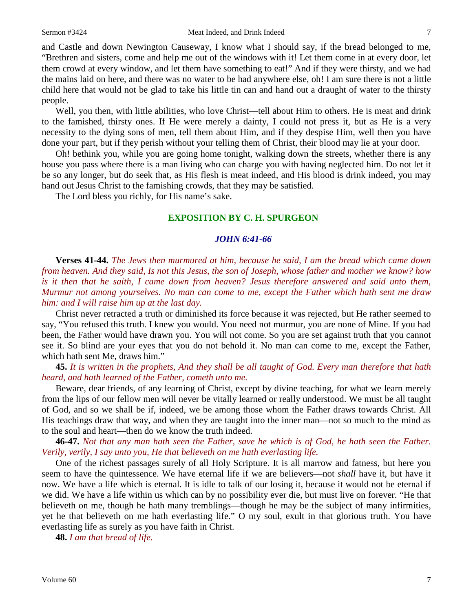and Castle and down Newington Causeway, I know what I should say, if the bread belonged to me, "Brethren and sisters, come and help me out of the windows with it! Let them come in at every door, let them crowd at every window, and let them have something to eat!" And if they were thirsty, and we had the mains laid on here, and there was no water to be had anywhere else, oh! I am sure there is not a little child here that would not be glad to take his little tin can and hand out a draught of water to the thirsty people.

Well, you then, with little abilities, who love Christ—tell about Him to others. He is meat and drink to the famished, thirsty ones. If He were merely a dainty, I could not press it, but as He is a very necessity to the dying sons of men, tell them about Him, and if they despise Him, well then you have done your part, but if they perish without your telling them of Christ, their blood may lie at your door.

Oh! bethink you, while you are going home tonight, walking down the streets, whether there is any house you pass where there is a man living who can charge you with having neglected him. Do not let it be so any longer, but do seek that, as His flesh is meat indeed, and His blood is drink indeed, you may hand out Jesus Christ to the famishing crowds, that they may be satisfied.

The Lord bless you richly, for His name's sake.

## **EXPOSITION BY C. H. SPURGEON**

#### *JOHN 6:41-66*

**Verses 41-44.** *The Jews then murmured at him, because he said, I am the bread which came down from heaven. And they said, Is not this Jesus, the son of Joseph, whose father and mother we know? how is it then that he saith, I came down from heaven? Jesus therefore answered and said unto them, Murmur not among yourselves. No man can come to me, except the Father which hath sent me draw him: and I will raise him up at the last day.*

Christ never retracted a truth or diminished its force because it was rejected, but He rather seemed to say, "You refused this truth. I knew you would. You need not murmur, you are none of Mine. If you had been, the Father would have drawn you. You will not come. So you are set against truth that you cannot see it. So blind are your eyes that you do not behold it. No man can come to me, except the Father, which hath sent Me, draws him."

**45.** *It is written in the prophets, And they shall be all taught of God. Every man therefore that hath heard, and hath learned of the Father, cometh unto me.*

Beware, dear friends, of any learning of Christ, except by divine teaching, for what we learn merely from the lips of our fellow men will never be vitally learned or really understood. We must be all taught of God, and so we shall be if, indeed, we be among those whom the Father draws towards Christ. All His teachings draw that way, and when they are taught into the inner man—not so much to the mind as to the soul and heart—then do we know the truth indeed.

**46-47.** *Not that any man hath seen the Father, save he which is of God, he hath seen the Father. Verily, verily, I say unto you, He that believeth on me hath everlasting life.*

One of the richest passages surely of all Holy Scripture. It is all marrow and fatness, but here you seem to have the quintessence. We have eternal life if we are believers—not *shall* have it, but have it now. We have a life which is eternal. It is idle to talk of our losing it, because it would not be eternal if we did. We have a life within us which can by no possibility ever die, but must live on forever. "He that believeth on me, though he hath many tremblings—though he may be the subject of many infirmities, yet he that believeth on me hath everlasting life." O my soul, exult in that glorious truth. You have everlasting life as surely as you have faith in Christ.

**48.** *I am that bread of life.*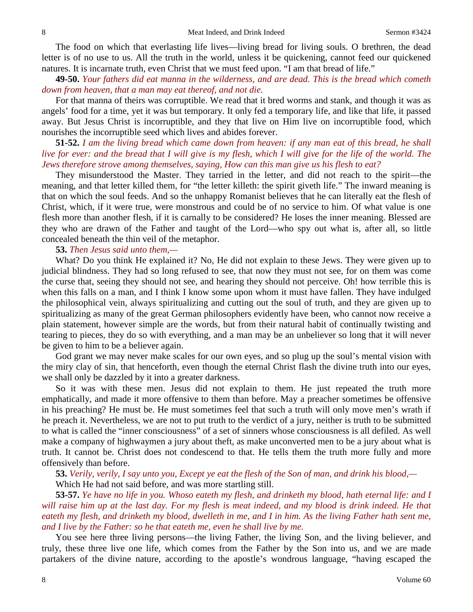The food on which that everlasting life lives—living bread for living souls. O brethren, the dead letter is of no use to us. All the truth in the world, unless it be quickening, cannot feed our quickened natures. It is incarnate truth, even Christ that we must feed upon. "I am that bread of life."

**49-50.** *Your fathers did eat manna in the wilderness, and are dead. This is the bread which cometh down from heaven, that a man may eat thereof, and not die.*

For that manna of theirs was corruptible. We read that it bred worms and stank, and though it was as angels' food for a time, yet it was but temporary. It only fed a temporary life, and like that life, it passed away. But Jesus Christ is incorruptible, and they that live on Him live on incorruptible food, which nourishes the incorruptible seed which lives and abides forever.

## **51-52.** *I am the living bread which came down from heaven: if any man eat of this bread, he shall live for ever: and the bread that I will give is my flesh, which I will give for the life of the world. The Jews therefore strove among themselves, saying, How can this man give us his flesh to eat?*

They misunderstood the Master. They tarried in the letter, and did not reach to the spirit—the meaning, and that letter killed them, for "the letter killeth: the spirit giveth life." The inward meaning is that on which the soul feeds. And so the unhappy Romanist believes that he can literally eat the flesh of Christ, which, if it were true, were monstrous and could be of no service to him. Of what value is one flesh more than another flesh, if it is carnally to be considered? He loses the inner meaning. Blessed are they who are drawn of the Father and taught of the Lord—who spy out what is, after all, so little concealed beneath the thin veil of the metaphor.

#### **53.** *Then Jesus said unto them,—*

What? Do you think He explained it? No, He did not explain to these Jews. They were given up to judicial blindness. They had so long refused to see, that now they must not see, for on them was come the curse that, seeing they should not see, and hearing they should not perceive. Oh! how terrible this is when this falls on a man, and I think I know some upon whom it must have fallen. They have indulged the philosophical vein, always spiritualizing and cutting out the soul of truth, and they are given up to spiritualizing as many of the great German philosophers evidently have been, who cannot now receive a plain statement, however simple are the words, but from their natural habit of continually twisting and tearing to pieces, they do so with everything, and a man may be an unbeliever so long that it will never be given to him to be a believer again.

God grant we may never make scales for our own eyes, and so plug up the soul's mental vision with the miry clay of sin, that henceforth, even though the eternal Christ flash the divine truth into our eyes, we shall only be dazzled by it into a greater darkness.

So it was with these men. Jesus did not explain to them. He just repeated the truth more emphatically, and made it more offensive to them than before. May a preacher sometimes be offensive in his preaching? He must be. He must sometimes feel that such a truth will only move men's wrath if he preach it. Nevertheless, we are not to put truth to the verdict of a jury, neither is truth to be submitted to what is called the "inner consciousness" of a set of sinners whose consciousness is all defiled. As well make a company of highwaymen a jury about theft, as make unconverted men to be a jury about what is truth. It cannot be. Christ does not condescend to that. He tells them the truth more fully and more offensively than before.

**53.** *Verily, verily, I say unto you, Except ye eat the flesh of the Son of man, and drink his blood,—* Which He had not said before, and was more startling still.

**53-57.** *Ye have no life in you. Whoso eateth my flesh, and drinketh my blood, hath eternal life: and I*  will raise him up at the last day. For my flesh is meat indeed, and my blood is drink indeed. He that *eateth my flesh, and drinketh my blood, dwelleth in me, and I in him. As the living Father hath sent me, and I live by the Father: so he that eateth me, even he shall live by me.*

You see here three living persons—the living Father, the living Son, and the living believer, and truly, these three live one life, which comes from the Father by the Son into us, and we are made partakers of the divine nature, according to the apostle's wondrous language, "having escaped the